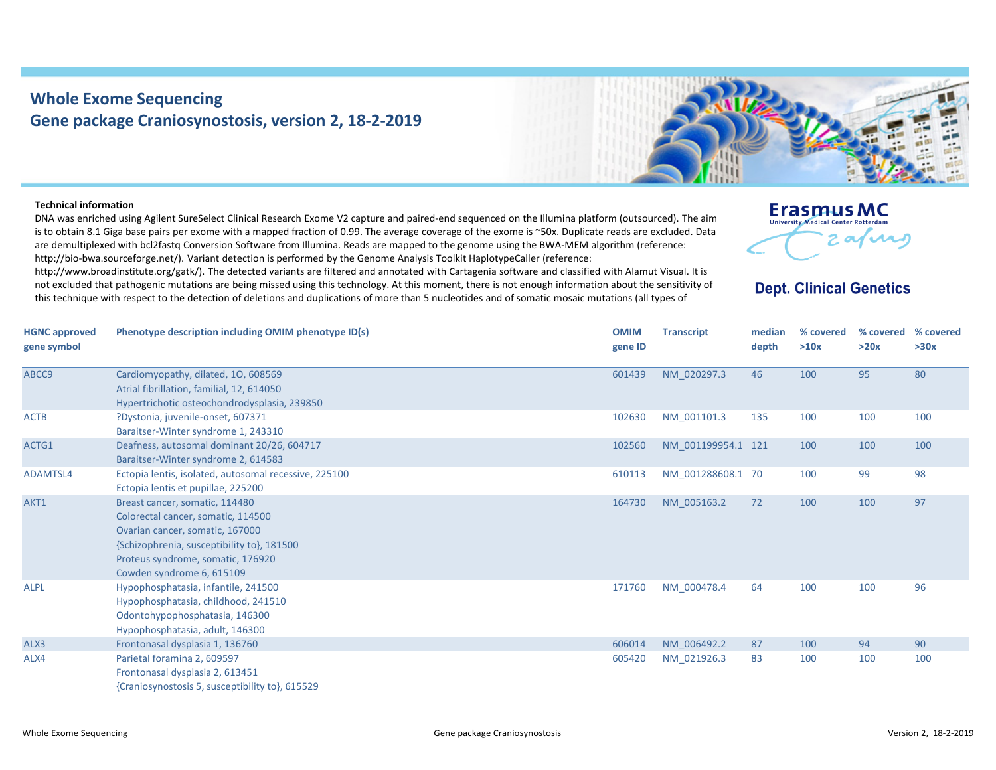## **Whole Exome Sequencing Gene package Craniosynostosis, version 2, 18‐2‐2019**



## **Technical information**

DNA was enriched using Agilent SureSelect Clinical Research Exome V2 capture and paired‐end sequenced on the Illumina platform (outsourced). The aim is to obtain 8.1 Giga base pairs per exome with <sup>a</sup> mapped fraction of 0.99. The average coverage of the exome is ~50x. Duplicate reads are excluded. Data are demultiplexed with bcl2fastq Conversion Software from Illumina. Reads are mapped to the genome using the BWA‐MEM algorithm (reference: http://bio-bwa.sourceforge.net/). Variant detection is performed by the Genome Analysis Toolkit HaplotypeCaller (reference:

http://www.broadinstitute.org/gatk/). The detected variants are filtered and annotated with Cartagenia software and classified with Alamut Visual. It is not excluded that pathogenic mutations are being missed using this technology. At this moment, there is not enough information about the sensitivity of this technique with respect to the detection of deletions and duplications of more than 5 nucleotides and of somatic mosaic mutations (all types of



## **Dept. Clinical Genetics**

| <b>HGNC approved</b> | Phenotype description including OMIM phenotype ID(s)  | <b>OMIM</b> | <b>Transcript</b>  | median | % covered | % covered | % covered |
|----------------------|-------------------------------------------------------|-------------|--------------------|--------|-----------|-----------|-----------|
| gene symbol          |                                                       | gene ID     |                    | depth  | >10x      | >20x      | >30x      |
| ABCC9                | Cardiomyopathy, dilated, 10, 608569                   | 601439      | NM 020297.3        | 46     | 100       | 95        | 80        |
|                      | Atrial fibrillation, familial, 12, 614050             |             |                    |        |           |           |           |
|                      | Hypertrichotic osteochondrodysplasia, 239850          |             |                    |        |           |           |           |
| <b>ACTB</b>          | ?Dystonia, juvenile-onset, 607371                     | 102630      | NM 001101.3        | 135    | 100       | 100       | 100       |
|                      | Baraitser-Winter syndrome 1, 243310                   |             |                    |        |           |           |           |
| ACTG1                | Deafness, autosomal dominant 20/26, 604717            | 102560      | NM 001199954.1 121 |        | 100       | 100       | 100       |
|                      | Baraitser-Winter syndrome 2, 614583                   |             |                    |        |           |           |           |
| ADAMTSL4             | Ectopia lentis, isolated, autosomal recessive, 225100 | 610113      | NM 001288608.1 70  |        | 100       | 99        | 98        |
|                      | Ectopia lentis et pupillae, 225200                    |             |                    |        |           |           |           |
| AKT1                 | Breast cancer, somatic, 114480                        | 164730      | NM 005163.2        | 72     | 100       | 100       | 97        |
|                      | Colorectal cancer, somatic, 114500                    |             |                    |        |           |           |           |
|                      | Ovarian cancer, somatic, 167000                       |             |                    |        |           |           |           |
|                      | {Schizophrenia, susceptibility to}, 181500            |             |                    |        |           |           |           |
|                      | Proteus syndrome, somatic, 176920                     |             |                    |        |           |           |           |
|                      | Cowden syndrome 6, 615109                             |             |                    |        |           |           |           |
| <b>ALPL</b>          | Hypophosphatasia, infantile, 241500                   | 171760      | NM 000478.4        | 64     | 100       | 100       | 96        |
|                      | Hypophosphatasia, childhood, 241510                   |             |                    |        |           |           |           |
|                      | Odontohypophosphatasia, 146300                        |             |                    |        |           |           |           |
|                      | Hypophosphatasia, adult, 146300                       |             |                    |        |           |           |           |
| ALX3                 | Frontonasal dysplasia 1, 136760                       | 606014      | NM 006492.2        | 87     | 100       | 94        | 90        |
| ALX4                 | Parietal foramina 2, 609597                           | 605420      | NM 021926.3        | 83     | 100       | 100       | 100       |
|                      | Frontonasal dysplasia 2, 613451                       |             |                    |        |           |           |           |
|                      | {Craniosynostosis 5, susceptibility to}, 615529       |             |                    |        |           |           |           |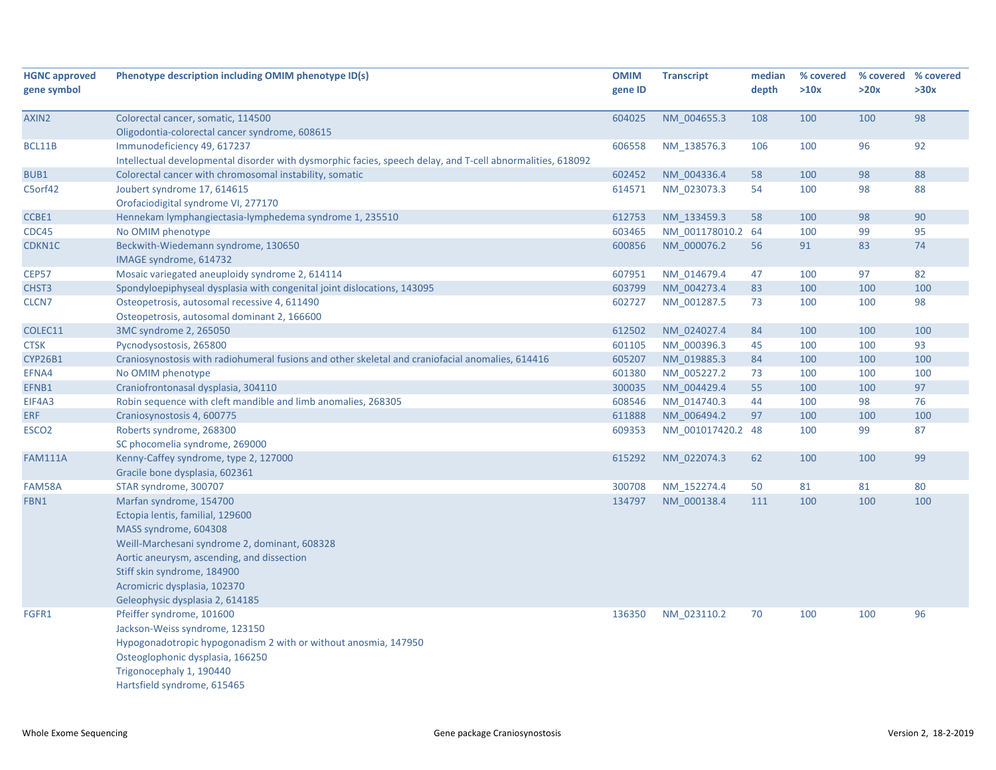| <b>HGNC approved</b> | Phenotype description including OMIM phenotype ID(s)                                                       | <b>OMIM</b> | <b>Transcript</b> | median | % covered | % covered % covered |      |
|----------------------|------------------------------------------------------------------------------------------------------------|-------------|-------------------|--------|-----------|---------------------|------|
| gene symbol          |                                                                                                            | gene ID     |                   | depth  | >10x      | >20x                | >30x |
|                      |                                                                                                            |             |                   |        |           |                     |      |
| AXIN2                | Colorectal cancer, somatic, 114500                                                                         | 604025      | NM 004655.3       | 108    | 100       | 100                 | 98   |
|                      | Oligodontia-colorectal cancer syndrome, 608615                                                             |             |                   |        |           |                     |      |
| BCL11B               | Immunodeficiency 49, 617237                                                                                | 606558      | NM 138576.3       | 106    | 100       | 96                  | 92   |
|                      | Intellectual developmental disorder with dysmorphic facies, speech delay, and T-cell abnormalities, 618092 |             |                   |        |           |                     |      |
| BUB1                 | Colorectal cancer with chromosomal instability, somatic                                                    | 602452      | NM 004336.4       | 58     | 100       | 98                  | 88   |
| C5orf42              | Joubert syndrome 17, 614615                                                                                | 614571      | NM 023073.3       | 54     | 100       | 98                  | 88   |
|                      | Orofaciodigital syndrome VI, 277170                                                                        |             |                   |        |           |                     |      |
| CCBE1                | Hennekam lymphangiectasia-lymphedema syndrome 1, 235510                                                    | 612753      | NM_133459.3       | 58     | 100       | 98                  | 90   |
| CDC45                | No OMIM phenotype                                                                                          | 603465      | NM 001178010.2 64 |        | 100       | 99                  | 95   |
| CDKN1C               | Beckwith-Wiedemann syndrome, 130650                                                                        | 600856      | NM 000076.2       | 56     | 91        | 83                  | 74   |
|                      | IMAGE syndrome, 614732                                                                                     |             |                   |        |           |                     |      |
| <b>CEP57</b>         | Mosaic variegated aneuploidy syndrome 2, 614114                                                            | 607951      | NM 014679.4       | 47     | 100       | 97                  | 82   |
| CHST3                | Spondyloepiphyseal dysplasia with congenital joint dislocations, 143095                                    | 603799      | NM_004273.4       | 83     | 100       | 100                 | 100  |
| CLCN <sub>7</sub>    | Osteopetrosis, autosomal recessive 4, 611490                                                               | 602727      | NM 001287.5       | 73     | 100       | 100                 | 98   |
|                      | Osteopetrosis, autosomal dominant 2, 166600                                                                |             |                   |        |           |                     |      |
| COLEC11              | 3MC syndrome 2, 265050                                                                                     | 612502      | NM 024027.4       | 84     | 100       | 100                 | 100  |
| <b>CTSK</b>          | Pycnodysostosis, 265800                                                                                    | 601105      | NM 000396.3       | 45     | 100       | 100                 | 93   |
| <b>CYP26B1</b>       | Craniosynostosis with radiohumeral fusions and other skeletal and craniofacial anomalies, 614416           | 605207      | NM 019885.3       | 84     | 100       | 100                 | 100  |
| EFNA4                | No OMIM phenotype                                                                                          | 601380      | NM_005227.2       | 73     | 100       | 100                 | 100  |
| EFNB1                | Craniofrontonasal dysplasia, 304110                                                                        | 300035      | NM 004429.4       | 55     | 100       | 100                 | 97   |
| EIF4A3               | Robin sequence with cleft mandible and limb anomalies, 268305                                              | 608546      | NM 014740.3       | 44     | 100       | 98                  | 76   |
| <b>ERF</b>           | Craniosynostosis 4, 600775                                                                                 | 611888      | NM 006494.2       | 97     | 100       | 100                 | 100  |
| ESCO <sub>2</sub>    | Roberts syndrome, 268300                                                                                   | 609353      | NM_001017420.2 48 |        | 100       | 99                  | 87   |
|                      | SC phocomelia syndrome, 269000                                                                             |             |                   |        |           |                     |      |
| <b>FAM111A</b>       | Kenny-Caffey syndrome, type 2, 127000                                                                      | 615292      | NM 022074.3       | 62     | 100       | 100                 | 99   |
|                      | Gracile bone dysplasia, 602361                                                                             |             |                   |        |           |                     |      |
| FAM58A               | STAR syndrome, 300707                                                                                      | 300708      | NM 152274.4       | 50     | 81        | 81                  | 80   |
| FBN1                 | Marfan syndrome, 154700                                                                                    | 134797      | NM 000138.4       | 111    | 100       | 100                 | 100  |
|                      | Ectopia lentis, familial, 129600                                                                           |             |                   |        |           |                     |      |
|                      | MASS syndrome, 604308                                                                                      |             |                   |        |           |                     |      |
|                      | Weill-Marchesani syndrome 2, dominant, 608328                                                              |             |                   |        |           |                     |      |
|                      | Aortic aneurysm, ascending, and dissection                                                                 |             |                   |        |           |                     |      |
|                      | Stiff skin syndrome, 184900                                                                                |             |                   |        |           |                     |      |
|                      | Acromicric dysplasia, 102370                                                                               |             |                   |        |           |                     |      |
|                      | Geleophysic dysplasia 2, 614185                                                                            |             |                   |        |           |                     |      |
| FGFR1                | Pfeiffer syndrome, 101600                                                                                  | 136350      | NM_023110.2       | 70     | 100       | 100                 | 96   |
|                      | Jackson-Weiss syndrome, 123150                                                                             |             |                   |        |           |                     |      |
|                      | Hypogonadotropic hypogonadism 2 with or without anosmia, 147950                                            |             |                   |        |           |                     |      |
|                      | Osteoglophonic dysplasia, 166250                                                                           |             |                   |        |           |                     |      |
|                      | Trigonocephaly 1, 190440                                                                                   |             |                   |        |           |                     |      |
|                      | Hartsfield syndrome, 615465                                                                                |             |                   |        |           |                     |      |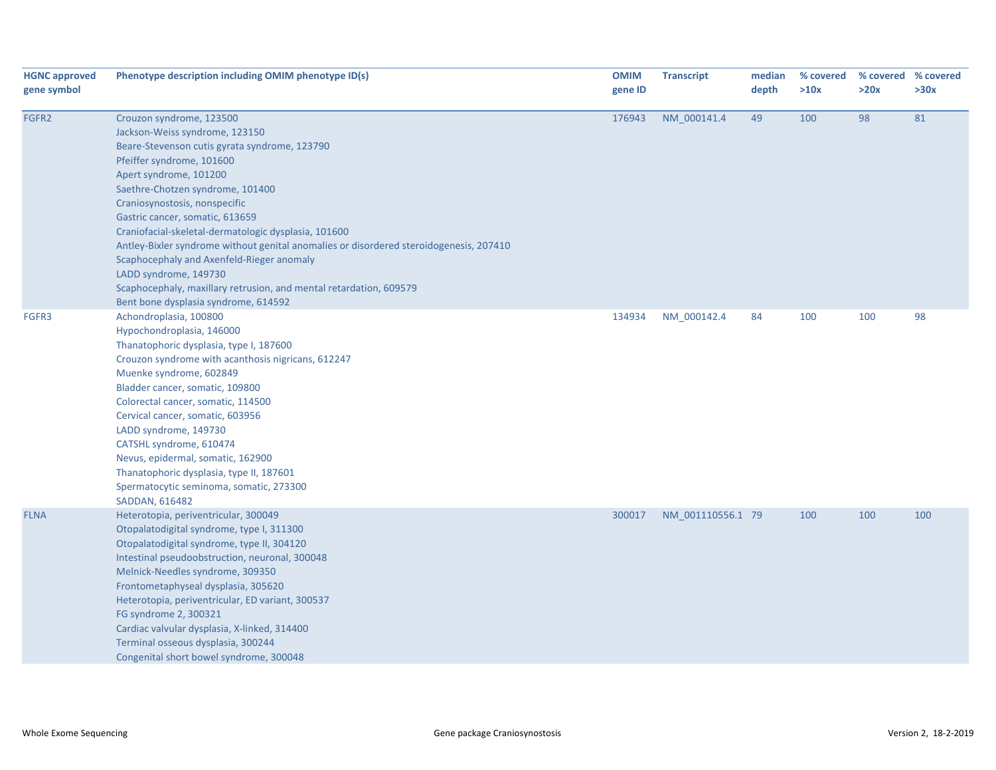| <b>HGNC approved</b><br>gene symbol | Phenotype description including OMIM phenotype ID(s)                                                                                                                                                                                                                                                                                                                                                                                                                                                                                                                                                             | <b>OMIM</b><br>gene ID | <b>Transcript</b> | median<br>depth | % covered<br>>10x | >20x | % covered % covered<br>>30x |
|-------------------------------------|------------------------------------------------------------------------------------------------------------------------------------------------------------------------------------------------------------------------------------------------------------------------------------------------------------------------------------------------------------------------------------------------------------------------------------------------------------------------------------------------------------------------------------------------------------------------------------------------------------------|------------------------|-------------------|-----------------|-------------------|------|-----------------------------|
| FGFR2                               | Crouzon syndrome, 123500<br>Jackson-Weiss syndrome, 123150<br>Beare-Stevenson cutis gyrata syndrome, 123790<br>Pfeiffer syndrome, 101600<br>Apert syndrome, 101200<br>Saethre-Chotzen syndrome, 101400<br>Craniosynostosis, nonspecific<br>Gastric cancer, somatic, 613659<br>Craniofacial-skeletal-dermatologic dysplasia, 101600<br>Antley-Bixler syndrome without genital anomalies or disordered steroidogenesis, 207410<br>Scaphocephaly and Axenfeld-Rieger anomaly<br>LADD syndrome, 149730<br>Scaphocephaly, maxillary retrusion, and mental retardation, 609579<br>Bent bone dysplasia syndrome, 614592 | 176943                 | NM_000141.4       | 49              | 100               | 98   | 81                          |
| FGFR3                               | Achondroplasia, 100800<br>Hypochondroplasia, 146000<br>Thanatophoric dysplasia, type I, 187600<br>Crouzon syndrome with acanthosis nigricans, 612247<br>Muenke syndrome, 602849<br>Bladder cancer, somatic, 109800<br>Colorectal cancer, somatic, 114500<br>Cervical cancer, somatic, 603956<br>LADD syndrome, 149730<br>CATSHL syndrome, 610474<br>Nevus, epidermal, somatic, 162900<br>Thanatophoric dysplasia, type II, 187601<br>Spermatocytic seminoma, somatic, 273300<br>SADDAN, 616482                                                                                                                   | 134934                 | NM 000142.4       | 84              | 100               | 100  | 98                          |
| <b>FLNA</b>                         | Heterotopia, periventricular, 300049<br>Otopalatodigital syndrome, type I, 311300<br>Otopalatodigital syndrome, type II, 304120<br>Intestinal pseudoobstruction, neuronal, 300048<br>Melnick-Needles syndrome, 309350<br>Frontometaphyseal dysplasia, 305620<br>Heterotopia, periventricular, ED variant, 300537<br>FG syndrome 2, 300321<br>Cardiac valvular dysplasia, X-linked, 314400<br>Terminal osseous dysplasia, 300244<br>Congenital short bowel syndrome, 300048                                                                                                                                       | 300017                 | NM 001110556.1 79 |                 | 100               | 100  | 100                         |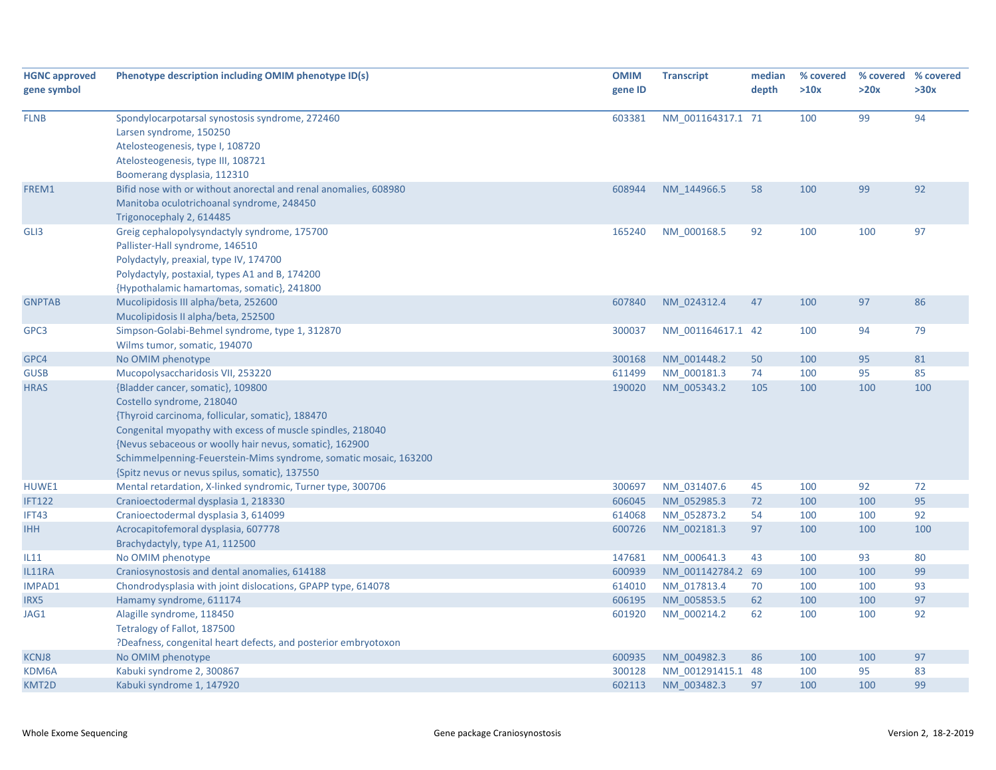| <b>HGNC approved</b> | Phenotype description including OMIM phenotype ID(s)             | <b>OMIM</b> | <b>Transcript</b> | median | % covered | % covered % covered |      |
|----------------------|------------------------------------------------------------------|-------------|-------------------|--------|-----------|---------------------|------|
| gene symbol          |                                                                  | gene ID     |                   | depth  | >10x      | >20x                | >30x |
|                      |                                                                  |             |                   |        |           |                     |      |
| <b>FLNB</b>          | Spondylocarpotarsal synostosis syndrome, 272460                  | 603381      | NM 001164317.1 71 |        | 100       | 99                  | 94   |
|                      | Larsen syndrome, 150250                                          |             |                   |        |           |                     |      |
|                      | Atelosteogenesis, type I, 108720                                 |             |                   |        |           |                     |      |
|                      | Atelosteogenesis, type III, 108721                               |             |                   |        |           |                     |      |
|                      | Boomerang dysplasia, 112310                                      |             |                   |        |           |                     |      |
| FREM1                | Bifid nose with or without anorectal and renal anomalies, 608980 | 608944      | NM 144966.5       | 58     | 100       | 99                  | 92   |
|                      | Manitoba oculotrichoanal syndrome, 248450                        |             |                   |        |           |                     |      |
|                      | Trigonocephaly 2, 614485                                         |             |                   |        |           |                     |      |
| GLI3                 | Greig cephalopolysyndactyly syndrome, 175700                     | 165240      | NM 000168.5       | 92     | 100       | 100                 | 97   |
|                      | Pallister-Hall syndrome, 146510                                  |             |                   |        |           |                     |      |
|                      | Polydactyly, preaxial, type IV, 174700                           |             |                   |        |           |                     |      |
|                      | Polydactyly, postaxial, types A1 and B, 174200                   |             |                   |        |           |                     |      |
|                      | {Hypothalamic hamartomas, somatic}, 241800                       |             |                   |        |           |                     |      |
| <b>GNPTAB</b>        | Mucolipidosis III alpha/beta, 252600                             | 607840      | NM 024312.4       | 47     | 100       | 97                  | 86   |
|                      | Mucolipidosis II alpha/beta, 252500                              |             |                   |        |           |                     |      |
| GPC3                 | Simpson-Golabi-Behmel syndrome, type 1, 312870                   | 300037      | NM 001164617.1 42 |        | 100       | 94                  | 79   |
|                      | Wilms tumor, somatic, 194070                                     |             |                   |        |           |                     |      |
| GPC4                 | No OMIM phenotype                                                | 300168      | NM 001448.2       | 50     | 100       | 95                  | 81   |
| <b>GUSB</b>          | Mucopolysaccharidosis VII, 253220                                | 611499      | NM_000181.3       | 74     | 100       | 95                  | 85   |
| <b>HRAS</b>          | {Bladder cancer, somatic}, 109800                                | 190020      | NM 005343.2       | 105    | 100       | 100                 | 100  |
|                      | Costello syndrome, 218040                                        |             |                   |        |           |                     |      |
|                      | {Thyroid carcinoma, follicular, somatic}, 188470                 |             |                   |        |           |                     |      |
|                      | Congenital myopathy with excess of muscle spindles, 218040       |             |                   |        |           |                     |      |
|                      | {Nevus sebaceous or woolly hair nevus, somatic}, 162900          |             |                   |        |           |                     |      |
|                      | Schimmelpenning-Feuerstein-Mims syndrome, somatic mosaic, 163200 |             |                   |        |           |                     |      |
|                      | {Spitz nevus or nevus spilus, somatic}, 137550                   |             |                   |        |           |                     |      |
| HUWE1                | Mental retardation, X-linked syndromic, Turner type, 300706      | 300697      | NM 031407.6       | 45     | 100       | 92                  | 72   |
| <b>IFT122</b>        | Cranioectodermal dysplasia 1, 218330                             | 606045      | NM 052985.3       | 72     | 100       | 100                 | 95   |
| IFT43                | Cranioectodermal dysplasia 3, 614099                             | 614068      | NM 052873.2       | 54     | 100       | 100                 | 92   |
| <b>IHH</b>           | Acrocapitofemoral dysplasia, 607778                              | 600726      | NM 002181.3       | 97     | 100       | 100                 | 100  |
|                      | Brachydactyly, type A1, 112500                                   |             |                   |        |           |                     |      |
| IL11                 | No OMIM phenotype                                                | 147681      | NM 000641.3       | 43     | 100       | 93                  | 80   |
| IL11RA               | Craniosynostosis and dental anomalies, 614188                    | 600939      | NM 001142784.2 69 |        | 100       | 100                 | 99   |
| IMPAD1               | Chondrodysplasia with joint dislocations, GPAPP type, 614078     | 614010      | NM 017813.4       | 70     | 100       | 100                 | 93   |
| IRX5                 | Hamamy syndrome, 611174                                          | 606195      | NM 005853.5       | 62     | 100       | 100                 | 97   |
| JAG1                 | Alagille syndrome, 118450                                        | 601920      | NM 000214.2       | 62     | 100       | 100                 | 92   |
|                      | Tetralogy of Fallot, 187500                                      |             |                   |        |           |                     |      |
|                      | ?Deafness, congenital heart defects, and posterior embryotoxon   |             |                   |        |           |                     |      |
| <b>KCNJ8</b>         | No OMIM phenotype                                                | 600935      | NM 004982.3       | 86     | 100       | 100                 | 97   |
| KDM6A                | Kabuki syndrome 2, 300867                                        | 300128      | NM 001291415.1 48 |        | 100       | 95                  | 83   |
| KMT2D                | Kabuki syndrome 1, 147920                                        | 602113      | NM 003482.3       | 97     | 100       | 100                 | 99   |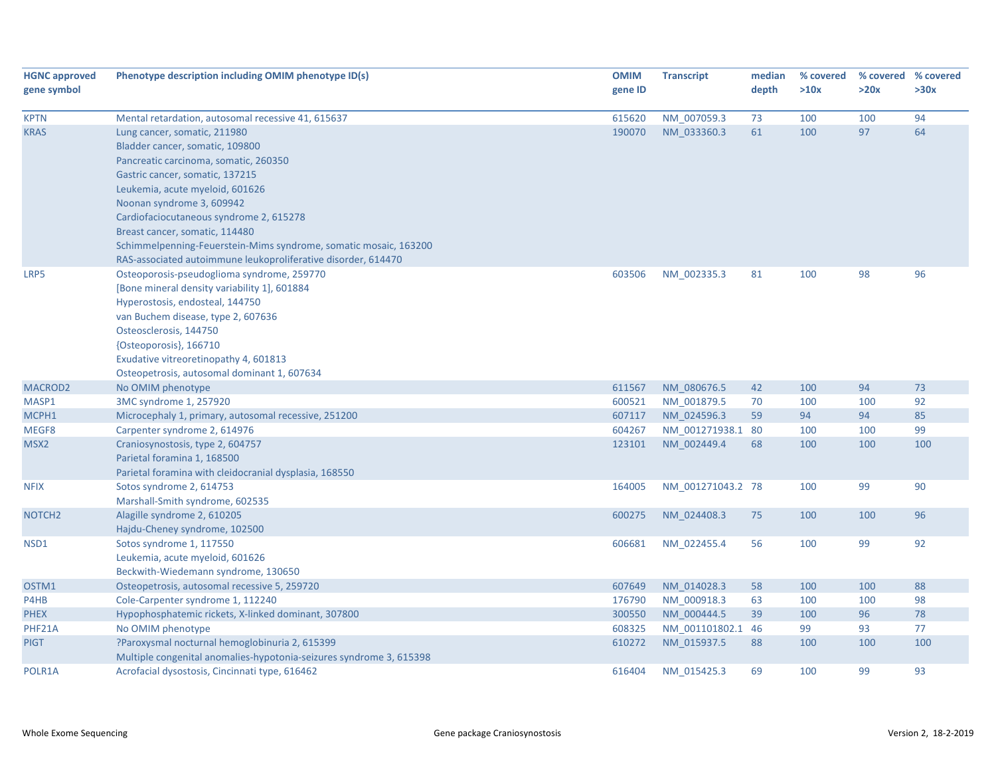| <b>HGNC approved</b><br>gene symbol | Phenotype description including OMIM phenotype ID(s)                | <b>OMIM</b><br>gene ID | <b>Transcript</b> | median<br>depth | % covered<br>>10x | % covered % covered<br>>20x | >30x |
|-------------------------------------|---------------------------------------------------------------------|------------------------|-------------------|-----------------|-------------------|-----------------------------|------|
| <b>KPTN</b>                         | Mental retardation, autosomal recessive 41, 615637                  | 615620                 | NM_007059.3       | 73              | 100               | 100                         | 94   |
| <b>KRAS</b>                         | Lung cancer, somatic, 211980                                        | 190070                 | NM 033360.3       | 61              | 100               | 97                          | 64   |
|                                     | Bladder cancer, somatic, 109800                                     |                        |                   |                 |                   |                             |      |
|                                     | Pancreatic carcinoma, somatic, 260350                               |                        |                   |                 |                   |                             |      |
|                                     | Gastric cancer, somatic, 137215                                     |                        |                   |                 |                   |                             |      |
|                                     | Leukemia, acute myeloid, 601626                                     |                        |                   |                 |                   |                             |      |
|                                     | Noonan syndrome 3, 609942                                           |                        |                   |                 |                   |                             |      |
|                                     | Cardiofaciocutaneous syndrome 2, 615278                             |                        |                   |                 |                   |                             |      |
|                                     | Breast cancer, somatic, 114480                                      |                        |                   |                 |                   |                             |      |
|                                     | Schimmelpenning-Feuerstein-Mims syndrome, somatic mosaic, 163200    |                        |                   |                 |                   |                             |      |
|                                     | RAS-associated autoimmune leukoproliferative disorder, 614470       |                        |                   |                 |                   |                             |      |
| LRP5                                | Osteoporosis-pseudoglioma syndrome, 259770                          | 603506                 | NM 002335.3       | 81              | 100               | 98                          | 96   |
|                                     | [Bone mineral density variability 1], 601884                        |                        |                   |                 |                   |                             |      |
|                                     | Hyperostosis, endosteal, 144750                                     |                        |                   |                 |                   |                             |      |
|                                     | van Buchem disease, type 2, 607636                                  |                        |                   |                 |                   |                             |      |
|                                     | Osteosclerosis, 144750                                              |                        |                   |                 |                   |                             |      |
|                                     | {Osteoporosis}, 166710                                              |                        |                   |                 |                   |                             |      |
|                                     | Exudative vitreoretinopathy 4, 601813                               |                        |                   |                 |                   |                             |      |
|                                     | Osteopetrosis, autosomal dominant 1, 607634                         |                        |                   |                 |                   |                             |      |
| MACROD <sub>2</sub>                 | No OMIM phenotype                                                   | 611567                 | NM 080676.5       | 42              | 100               | 94                          | 73   |
| MASP1                               | 3MC syndrome 1, 257920                                              | 600521                 | NM_001879.5       | 70              | 100               | 100                         | 92   |
| MCPH1                               | Microcephaly 1, primary, autosomal recessive, 251200                | 607117                 | NM 024596.3       | 59              | 94                | 94                          | 85   |
| MEGF8                               | Carpenter syndrome 2, 614976                                        | 604267                 | NM 001271938.1 80 |                 | 100               | 100                         | 99   |
| MSX2                                | Craniosynostosis, type 2, 604757                                    | 123101                 | NM_002449.4       | 68              | 100               | 100                         | 100  |
|                                     | Parietal foramina 1, 168500                                         |                        |                   |                 |                   |                             |      |
|                                     | Parietal foramina with cleidocranial dysplasia, 168550              |                        |                   |                 |                   |                             |      |
| <b>NFIX</b>                         | Sotos syndrome 2, 614753                                            | 164005                 | NM_001271043.2 78 |                 | 100               | 99                          | 90   |
|                                     | Marshall-Smith syndrome, 602535                                     |                        |                   |                 |                   |                             |      |
| NOTCH <sub>2</sub>                  | Alagille syndrome 2, 610205                                         | 600275                 | NM 024408.3       | 75              | 100               | 100                         | 96   |
|                                     | Hajdu-Cheney syndrome, 102500                                       |                        |                   |                 |                   |                             |      |
| NSD1                                | Sotos syndrome 1, 117550                                            | 606681                 | NM_022455.4       | 56              | 100               | 99                          | 92   |
|                                     | Leukemia, acute myeloid, 601626                                     |                        |                   |                 |                   |                             |      |
|                                     | Beckwith-Wiedemann syndrome, 130650                                 |                        |                   |                 |                   |                             |      |
| OSTM1                               | Osteopetrosis, autosomal recessive 5, 259720                        | 607649                 | NM 014028.3       | 58              | 100               | 100                         | 88   |
| P4HB                                | Cole-Carpenter syndrome 1, 112240                                   | 176790                 | NM_000918.3       | 63              | 100               | 100                         | 98   |
| <b>PHEX</b>                         | Hypophosphatemic rickets, X-linked dominant, 307800                 | 300550                 | NM 000444.5       | 39              | 100               | 96                          | 78   |
| PHF21A                              | No OMIM phenotype                                                   | 608325                 | NM 001101802.1    | 46              | 99                | 93                          | 77   |
| <b>PIGT</b>                         | ?Paroxysmal nocturnal hemoglobinuria 2, 615399                      | 610272                 | NM 015937.5       | 88              | 100               | 100                         | 100  |
|                                     | Multiple congenital anomalies-hypotonia-seizures syndrome 3, 615398 |                        |                   |                 |                   |                             |      |
| POLR1A                              | Acrofacial dysostosis, Cincinnati type, 616462                      | 616404                 | NM 015425.3       | 69              | 100               | 99                          | 93   |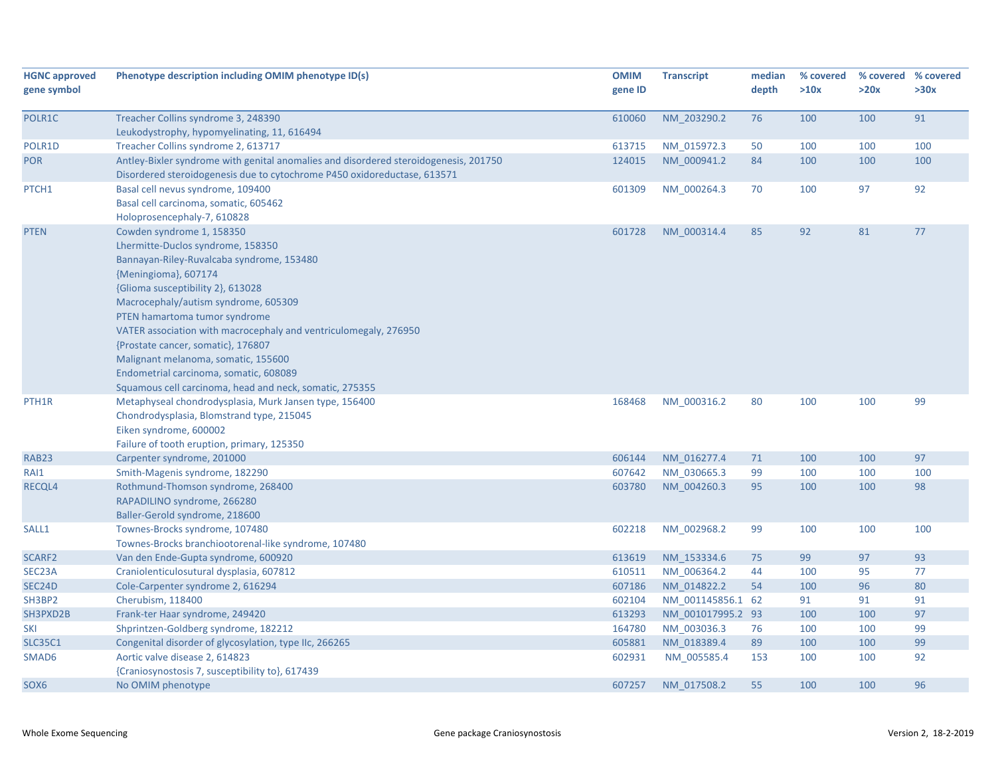| <b>HGNC approved</b>  | Phenotype description including OMIM phenotype ID(s)                                        | <b>OMIM</b> | <b>Transcript</b>                      | median   | % covered | % covered | % covered |
|-----------------------|---------------------------------------------------------------------------------------------|-------------|----------------------------------------|----------|-----------|-----------|-----------|
| gene symbol           |                                                                                             | gene ID     |                                        | depth    | >10x      | >20x      | >30x      |
|                       |                                                                                             |             |                                        |          |           |           |           |
| POLR1C                | Treacher Collins syndrome 3, 248390                                                         | 610060      | NM 203290.2                            | 76       | 100       | 100       | 91        |
|                       | Leukodystrophy, hypomyelinating, 11, 616494                                                 |             |                                        |          |           |           |           |
| POLR1D                | Treacher Collins syndrome 2, 613717                                                         | 613715      | NM 015972.3                            | 50       | 100       | 100       | 100       |
| <b>POR</b>            | Antley-Bixler syndrome with genital anomalies and disordered steroidogenesis, 201750        | 124015      | NM_000941.2                            | 84       | 100       | 100       | 100       |
|                       | Disordered steroidogenesis due to cytochrome P450 oxidoreductase, 613571                    |             |                                        |          |           |           |           |
| PTCH1                 | Basal cell nevus syndrome, 109400                                                           | 601309      | NM 000264.3                            | 70       | 100       | 97        | 92        |
|                       | Basal cell carcinoma, somatic, 605462                                                       |             |                                        |          |           |           |           |
|                       | Holoprosencephaly-7, 610828                                                                 |             |                                        |          |           |           |           |
| <b>PTEN</b>           | Cowden syndrome 1, 158350                                                                   | 601728      | NM 000314.4                            | 85       | 92        | 81        | 77        |
|                       | Lhermitte-Duclos syndrome, 158350                                                           |             |                                        |          |           |           |           |
|                       | Bannayan-Riley-Ruvalcaba syndrome, 153480                                                   |             |                                        |          |           |           |           |
|                       | {Meningioma}, 607174                                                                        |             |                                        |          |           |           |           |
|                       | {Glioma susceptibility 2}, 613028                                                           |             |                                        |          |           |           |           |
|                       | Macrocephaly/autism syndrome, 605309                                                        |             |                                        |          |           |           |           |
|                       | PTEN hamartoma tumor syndrome                                                               |             |                                        |          |           |           |           |
|                       | VATER association with macrocephaly and ventriculomegaly, 276950                            |             |                                        |          |           |           |           |
|                       | {Prostate cancer, somatic}, 176807                                                          |             |                                        |          |           |           |           |
|                       | Malignant melanoma, somatic, 155600                                                         |             |                                        |          |           |           |           |
|                       | Endometrial carcinoma, somatic, 608089                                                      |             |                                        |          |           |           |           |
|                       | Squamous cell carcinoma, head and neck, somatic, 275355                                     |             |                                        |          |           |           |           |
| PTH <sub>1</sub> R    | Metaphyseal chondrodysplasia, Murk Jansen type, 156400                                      | 168468      | NM 000316.2                            | 80       | 100       | 100       | 99        |
|                       | Chondrodysplasia, Blomstrand type, 215045                                                   |             |                                        |          |           |           |           |
|                       | Eiken syndrome, 600002                                                                      |             |                                        |          |           |           |           |
|                       | Failure of tooth eruption, primary, 125350                                                  |             |                                        |          |           |           |           |
| RAB <sub>23</sub>     | Carpenter syndrome, 201000                                                                  | 606144      | NM 016277.4                            | 71       | 100       | 100       | 97        |
| RAI1                  | Smith-Magenis syndrome, 182290                                                              | 607642      | NM 030665.3                            | 99       | 100       | 100       | 100       |
| RECQL4                | Rothmund-Thomson syndrome, 268400                                                           | 603780      | NM 004260.3                            | 95       | 100       | 100       | 98        |
|                       | RAPADILINO syndrome, 266280                                                                 |             |                                        |          |           |           |           |
|                       | Baller-Gerold syndrome, 218600                                                              |             |                                        |          |           |           |           |
| SALL1                 | Townes-Brocks syndrome, 107480                                                              | 602218      | NM_002968.2                            | 99       | 100       | 100       | 100       |
| SCARF2                | Townes-Brocks branchiootorenal-like syndrome, 107480<br>Van den Ende-Gupta syndrome, 600920 | 613619      | NM 153334.6                            |          | 99        | 97        | 93        |
| SEC <sub>23</sub> A   | Craniolenticulosutural dysplasia, 607812                                                    | 610511      | NM 006364.2                            | 75<br>44 | 100       | 95        | 77        |
|                       | Cole-Carpenter syndrome 2, 616294                                                           | 607186      | NM 014822.2                            | 54       | 100       | 96        | 80        |
| SEC24D                | Cherubism, 118400                                                                           | 602104      |                                        |          | 91        | 91        | 91        |
| SH3BP2<br>SH3PXD2B    | Frank-ter Haar syndrome, 249420                                                             | 613293      | NM 001145856.1 62<br>NM 001017995.2 93 |          | 100       | 100       | 97        |
|                       | Shprintzen-Goldberg syndrome, 182212                                                        | 164780      | NM 003036.3                            | 76       | 100       | 100       | 99        |
| SKI<br><b>SLC35C1</b> | Congenital disorder of glycosylation, type IIc, 266265                                      | 605881      | NM 018389.4                            | 89       | 100       | 100       | 99        |
| SMAD6                 | Aortic valve disease 2, 614823                                                              | 602931      | NM 005585.4                            | 153      | 100       | 100       | 92        |
|                       | {Craniosynostosis 7, susceptibility to}, 617439                                             |             |                                        |          |           |           |           |
| SOX6                  | No OMIM phenotype                                                                           | 607257      | NM 017508.2                            | 55       | 100       | 100       | 96        |
|                       |                                                                                             |             |                                        |          |           |           |           |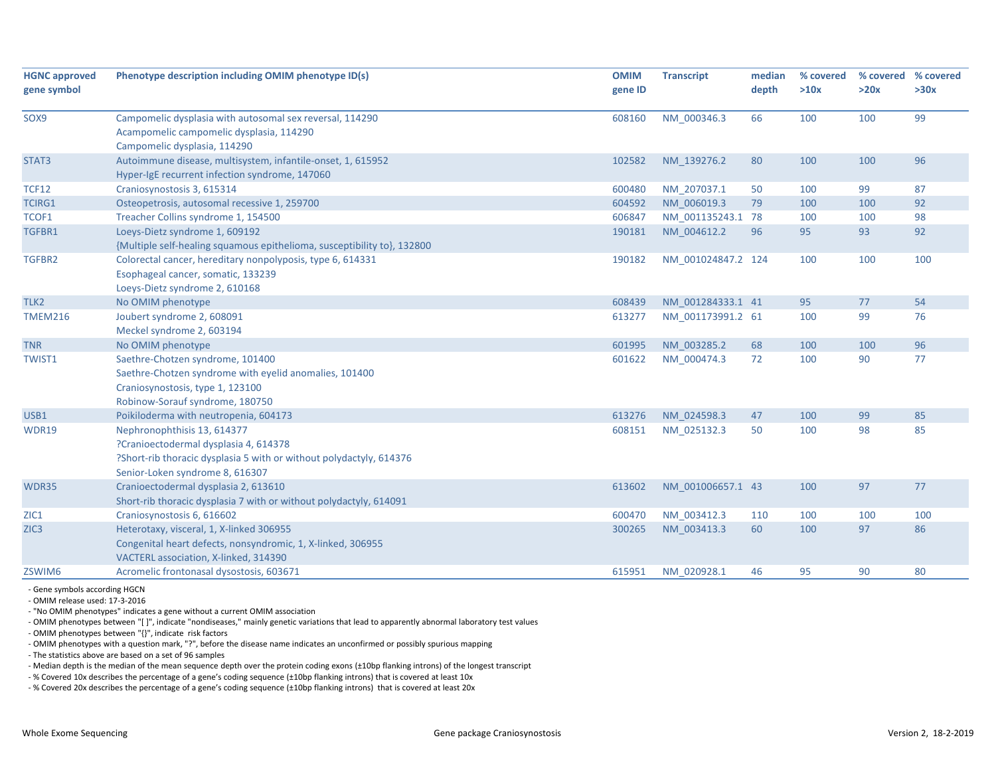| depth<br>>10x<br>>20x<br>gene symbol<br>gene ID<br>NM 000346.3<br>66<br>99<br>SOX9<br>Campomelic dysplasia with autosomal sex reversal, 114290<br>608160<br>100<br>100<br>Acampomelic campomelic dysplasia, 114290<br>Campomelic dysplasia, 114290<br>Autoimmune disease, multisystem, infantile-onset, 1, 615952<br>96<br>102582<br>NM 139276.2<br>80<br>100<br>100<br>Hyper-IgE recurrent infection syndrome, 147060<br>87<br><b>TCF12</b><br>Craniosynostosis 3, 615314<br>600480<br>NM 207037.1<br>99<br>50<br>100<br>92<br><b>TCIRG1</b><br>Osteopetrosis, autosomal recessive 1, 259700<br>604592<br>NM_006019.3<br>79<br>100<br>100<br>TCOF1<br>Treacher Collins syndrome 1, 154500<br>NM 001135243.1 78<br>98<br>606847<br>100<br>100<br>Loeys-Dietz syndrome 1, 609192<br>92<br>TGFBR1<br>190181<br>NM 004612.2<br>96<br>95<br>93<br>{Multiple self-healing squamous epithelioma, susceptibility to}, 132800<br>100<br>TGFBR2<br>Colorectal cancer, hereditary nonpolyposis, type 6, 614331<br>190182<br>100<br>NM 001024847.2 124<br>100<br>Esophageal cancer, somatic, 133239<br>Loeys-Dietz syndrome 2, 610168<br>54<br>TLK2<br>608439<br>NM 001284333.1 41<br>95<br>77<br>No OMIM phenotype<br>99<br><b>TMEM216</b><br>Joubert syndrome 2, 608091<br>613277<br>NM 001173991.2 61<br>100<br>76<br>Meckel syndrome 2, 603194<br>96<br>No OMIM phenotype<br>601995<br>NM 003285.2<br>68<br>100<br>100<br>77<br>Saethre-Chotzen syndrome, 101400<br>72<br>100<br>90<br>TWIST1<br>601622<br>NM 000474.3<br>Saethre-Chotzen syndrome with eyelid anomalies, 101400<br>Craniosynostosis, type 1, 123100<br>Robinow-Sorauf syndrome, 180750<br>Poikiloderma with neutropenia, 604173<br>NM 024598.3<br>47<br>100<br>99<br>85<br>613276<br>50<br>98<br>85<br>Nephronophthisis 13, 614377<br>608151<br>NM_025132.3<br>100<br>WDR19<br>?Cranioectodermal dysplasia 4, 614378 | % covered<br>>30x |
|--------------------------------------------------------------------------------------------------------------------------------------------------------------------------------------------------------------------------------------------------------------------------------------------------------------------------------------------------------------------------------------------------------------------------------------------------------------------------------------------------------------------------------------------------------------------------------------------------------------------------------------------------------------------------------------------------------------------------------------------------------------------------------------------------------------------------------------------------------------------------------------------------------------------------------------------------------------------------------------------------------------------------------------------------------------------------------------------------------------------------------------------------------------------------------------------------------------------------------------------------------------------------------------------------------------------------------------------------------------------------------------------------------------------------------------------------------------------------------------------------------------------------------------------------------------------------------------------------------------------------------------------------------------------------------------------------------------------------------------------------------------------------------------------------------------------------------------------------------------------------------|-------------------|
|                                                                                                                                                                                                                                                                                                                                                                                                                                                                                                                                                                                                                                                                                                                                                                                                                                                                                                                                                                                                                                                                                                                                                                                                                                                                                                                                                                                                                                                                                                                                                                                                                                                                                                                                                                                                                                                                                |                   |
|                                                                                                                                                                                                                                                                                                                                                                                                                                                                                                                                                                                                                                                                                                                                                                                                                                                                                                                                                                                                                                                                                                                                                                                                                                                                                                                                                                                                                                                                                                                                                                                                                                                                                                                                                                                                                                                                                |                   |
| STAT3<br><b>TNR</b><br>USB1                                                                                                                                                                                                                                                                                                                                                                                                                                                                                                                                                                                                                                                                                                                                                                                                                                                                                                                                                                                                                                                                                                                                                                                                                                                                                                                                                                                                                                                                                                                                                                                                                                                                                                                                                                                                                                                    |                   |
|                                                                                                                                                                                                                                                                                                                                                                                                                                                                                                                                                                                                                                                                                                                                                                                                                                                                                                                                                                                                                                                                                                                                                                                                                                                                                                                                                                                                                                                                                                                                                                                                                                                                                                                                                                                                                                                                                |                   |
|                                                                                                                                                                                                                                                                                                                                                                                                                                                                                                                                                                                                                                                                                                                                                                                                                                                                                                                                                                                                                                                                                                                                                                                                                                                                                                                                                                                                                                                                                                                                                                                                                                                                                                                                                                                                                                                                                |                   |
|                                                                                                                                                                                                                                                                                                                                                                                                                                                                                                                                                                                                                                                                                                                                                                                                                                                                                                                                                                                                                                                                                                                                                                                                                                                                                                                                                                                                                                                                                                                                                                                                                                                                                                                                                                                                                                                                                |                   |
|                                                                                                                                                                                                                                                                                                                                                                                                                                                                                                                                                                                                                                                                                                                                                                                                                                                                                                                                                                                                                                                                                                                                                                                                                                                                                                                                                                                                                                                                                                                                                                                                                                                                                                                                                                                                                                                                                |                   |
|                                                                                                                                                                                                                                                                                                                                                                                                                                                                                                                                                                                                                                                                                                                                                                                                                                                                                                                                                                                                                                                                                                                                                                                                                                                                                                                                                                                                                                                                                                                                                                                                                                                                                                                                                                                                                                                                                |                   |
|                                                                                                                                                                                                                                                                                                                                                                                                                                                                                                                                                                                                                                                                                                                                                                                                                                                                                                                                                                                                                                                                                                                                                                                                                                                                                                                                                                                                                                                                                                                                                                                                                                                                                                                                                                                                                                                                                |                   |
|                                                                                                                                                                                                                                                                                                                                                                                                                                                                                                                                                                                                                                                                                                                                                                                                                                                                                                                                                                                                                                                                                                                                                                                                                                                                                                                                                                                                                                                                                                                                                                                                                                                                                                                                                                                                                                                                                |                   |
|                                                                                                                                                                                                                                                                                                                                                                                                                                                                                                                                                                                                                                                                                                                                                                                                                                                                                                                                                                                                                                                                                                                                                                                                                                                                                                                                                                                                                                                                                                                                                                                                                                                                                                                                                                                                                                                                                |                   |
|                                                                                                                                                                                                                                                                                                                                                                                                                                                                                                                                                                                                                                                                                                                                                                                                                                                                                                                                                                                                                                                                                                                                                                                                                                                                                                                                                                                                                                                                                                                                                                                                                                                                                                                                                                                                                                                                                |                   |
|                                                                                                                                                                                                                                                                                                                                                                                                                                                                                                                                                                                                                                                                                                                                                                                                                                                                                                                                                                                                                                                                                                                                                                                                                                                                                                                                                                                                                                                                                                                                                                                                                                                                                                                                                                                                                                                                                |                   |
|                                                                                                                                                                                                                                                                                                                                                                                                                                                                                                                                                                                                                                                                                                                                                                                                                                                                                                                                                                                                                                                                                                                                                                                                                                                                                                                                                                                                                                                                                                                                                                                                                                                                                                                                                                                                                                                                                |                   |
|                                                                                                                                                                                                                                                                                                                                                                                                                                                                                                                                                                                                                                                                                                                                                                                                                                                                                                                                                                                                                                                                                                                                                                                                                                                                                                                                                                                                                                                                                                                                                                                                                                                                                                                                                                                                                                                                                |                   |
|                                                                                                                                                                                                                                                                                                                                                                                                                                                                                                                                                                                                                                                                                                                                                                                                                                                                                                                                                                                                                                                                                                                                                                                                                                                                                                                                                                                                                                                                                                                                                                                                                                                                                                                                                                                                                                                                                |                   |
|                                                                                                                                                                                                                                                                                                                                                                                                                                                                                                                                                                                                                                                                                                                                                                                                                                                                                                                                                                                                                                                                                                                                                                                                                                                                                                                                                                                                                                                                                                                                                                                                                                                                                                                                                                                                                                                                                |                   |
|                                                                                                                                                                                                                                                                                                                                                                                                                                                                                                                                                                                                                                                                                                                                                                                                                                                                                                                                                                                                                                                                                                                                                                                                                                                                                                                                                                                                                                                                                                                                                                                                                                                                                                                                                                                                                                                                                |                   |
|                                                                                                                                                                                                                                                                                                                                                                                                                                                                                                                                                                                                                                                                                                                                                                                                                                                                                                                                                                                                                                                                                                                                                                                                                                                                                                                                                                                                                                                                                                                                                                                                                                                                                                                                                                                                                                                                                |                   |
|                                                                                                                                                                                                                                                                                                                                                                                                                                                                                                                                                                                                                                                                                                                                                                                                                                                                                                                                                                                                                                                                                                                                                                                                                                                                                                                                                                                                                                                                                                                                                                                                                                                                                                                                                                                                                                                                                |                   |
|                                                                                                                                                                                                                                                                                                                                                                                                                                                                                                                                                                                                                                                                                                                                                                                                                                                                                                                                                                                                                                                                                                                                                                                                                                                                                                                                                                                                                                                                                                                                                                                                                                                                                                                                                                                                                                                                                |                   |
|                                                                                                                                                                                                                                                                                                                                                                                                                                                                                                                                                                                                                                                                                                                                                                                                                                                                                                                                                                                                                                                                                                                                                                                                                                                                                                                                                                                                                                                                                                                                                                                                                                                                                                                                                                                                                                                                                |                   |
|                                                                                                                                                                                                                                                                                                                                                                                                                                                                                                                                                                                                                                                                                                                                                                                                                                                                                                                                                                                                                                                                                                                                                                                                                                                                                                                                                                                                                                                                                                                                                                                                                                                                                                                                                                                                                                                                                |                   |
|                                                                                                                                                                                                                                                                                                                                                                                                                                                                                                                                                                                                                                                                                                                                                                                                                                                                                                                                                                                                                                                                                                                                                                                                                                                                                                                                                                                                                                                                                                                                                                                                                                                                                                                                                                                                                                                                                |                   |
|                                                                                                                                                                                                                                                                                                                                                                                                                                                                                                                                                                                                                                                                                                                                                                                                                                                                                                                                                                                                                                                                                                                                                                                                                                                                                                                                                                                                                                                                                                                                                                                                                                                                                                                                                                                                                                                                                |                   |
| ?Short-rib thoracic dysplasia 5 with or without polydactyly, 614376                                                                                                                                                                                                                                                                                                                                                                                                                                                                                                                                                                                                                                                                                                                                                                                                                                                                                                                                                                                                                                                                                                                                                                                                                                                                                                                                                                                                                                                                                                                                                                                                                                                                                                                                                                                                            |                   |
| Senior-Loken syndrome 8, 616307                                                                                                                                                                                                                                                                                                                                                                                                                                                                                                                                                                                                                                                                                                                                                                                                                                                                                                                                                                                                                                                                                                                                                                                                                                                                                                                                                                                                                                                                                                                                                                                                                                                                                                                                                                                                                                                |                   |
| Cranioectodermal dysplasia 2, 613610<br>613602<br>NM 001006657.1 43<br>100<br>97<br>77<br>WDR35                                                                                                                                                                                                                                                                                                                                                                                                                                                                                                                                                                                                                                                                                                                                                                                                                                                                                                                                                                                                                                                                                                                                                                                                                                                                                                                                                                                                                                                                                                                                                                                                                                                                                                                                                                                |                   |
| Short-rib thoracic dysplasia 7 with or without polydactyly, 614091                                                                                                                                                                                                                                                                                                                                                                                                                                                                                                                                                                                                                                                                                                                                                                                                                                                                                                                                                                                                                                                                                                                                                                                                                                                                                                                                                                                                                                                                                                                                                                                                                                                                                                                                                                                                             |                   |
| ZIC1<br>Craniosynostosis 6, 616602<br>600470<br>NM 003412.3<br>100<br>100<br>100<br>110                                                                                                                                                                                                                                                                                                                                                                                                                                                                                                                                                                                                                                                                                                                                                                                                                                                                                                                                                                                                                                                                                                                                                                                                                                                                                                                                                                                                                                                                                                                                                                                                                                                                                                                                                                                        |                   |
| 60<br>97<br>86<br>ZIC <sub>3</sub><br>Heterotaxy, visceral, 1, X-linked 306955<br>300265<br>NM 003413.3<br>100                                                                                                                                                                                                                                                                                                                                                                                                                                                                                                                                                                                                                                                                                                                                                                                                                                                                                                                                                                                                                                                                                                                                                                                                                                                                                                                                                                                                                                                                                                                                                                                                                                                                                                                                                                 |                   |
| Congenital heart defects, nonsyndromic, 1, X-linked, 306955                                                                                                                                                                                                                                                                                                                                                                                                                                                                                                                                                                                                                                                                                                                                                                                                                                                                                                                                                                                                                                                                                                                                                                                                                                                                                                                                                                                                                                                                                                                                                                                                                                                                                                                                                                                                                    |                   |
| VACTERL association, X-linked, 314390                                                                                                                                                                                                                                                                                                                                                                                                                                                                                                                                                                                                                                                                                                                                                                                                                                                                                                                                                                                                                                                                                                                                                                                                                                                                                                                                                                                                                                                                                                                                                                                                                                                                                                                                                                                                                                          |                   |
| Acromelic frontonasal dysostosis, 603671<br>95<br>80<br>ZSWIM6<br>615951<br>NM 020928.1<br>46<br>90                                                                                                                                                                                                                                                                                                                                                                                                                                                                                                                                                                                                                                                                                                                                                                                                                                                                                                                                                                                                                                                                                                                                                                                                                                                                                                                                                                                                                                                                                                                                                                                                                                                                                                                                                                            |                   |

‐ Gene symbols according HGCN ‐ OMIM release used: 17‐3‐2016

‐ "No OMIM phenotypes" indicates <sup>a</sup> gene without <sup>a</sup> current OMIM association

‐ OMIM phenotypes between "[ ]", indicate "nondiseases," mainly genetic variations that lead to apparently abnormal laboratory test values

‐ OMIM phenotypes between "{}", indicate risk factors

‐ OMIM phenotypes with <sup>a</sup> question mark, "?", before the disease name indicates an unconfirmed or possibly spurious mapping

‐ The statistics above are based on <sup>a</sup> set of 96 samples

‐ Median depth is the median of the mean sequence depth over the protein coding exons (±10bp flanking introns) of the longest transcript

‐ % Covered 10x describes the percentage of <sup>a</sup> gene's coding sequence (±10bp flanking introns) that is covered at least 10x

‐ % Covered 20x describes the percentage of <sup>a</sup> gene's coding sequence (±10bp flanking introns) that is covered at least 20x